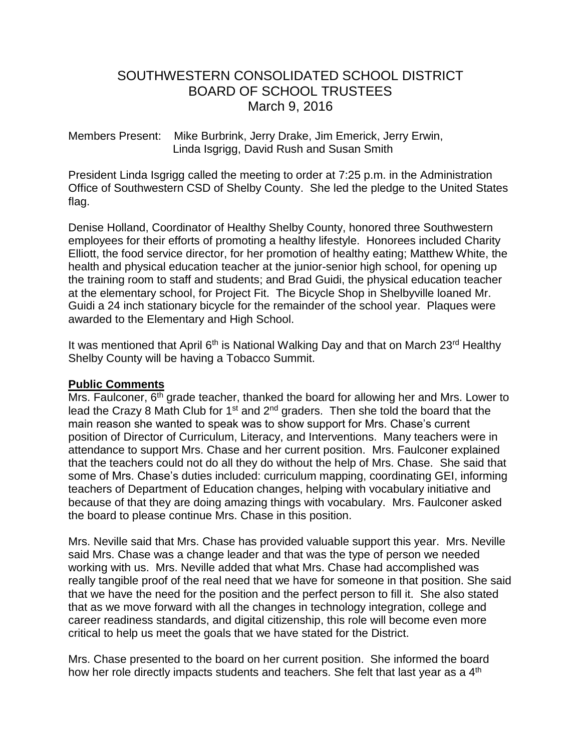# SOUTHWESTERN CONSOLIDATED SCHOOL DISTRICT BOARD OF SCHOOL TRUSTEES March 9, 2016

Members Present: Mike Burbrink, Jerry Drake, Jim Emerick, Jerry Erwin, Linda Isgrigg, David Rush and Susan Smith

President Linda Isgrigg called the meeting to order at 7:25 p.m. in the Administration Office of Southwestern CSD of Shelby County. She led the pledge to the United States flag.

Denise Holland, Coordinator of Healthy Shelby County, honored three Southwestern employees for their efforts of promoting a healthy lifestyle. Honorees included Charity Elliott, the food service director, for her promotion of healthy eating; Matthew White, the health and physical education teacher at the junior-senior high school, for opening up the training room to staff and students; and Brad Guidi, the physical education teacher at the elementary school, for Project Fit. The Bicycle Shop in Shelbyville loaned Mr. Guidi a 24 inch stationary bicycle for the remainder of the school year. Plaques were awarded to the Elementary and High School.

It was mentioned that April 6<sup>th</sup> is National Walking Day and that on March 23<sup>rd</sup> Healthy Shelby County will be having a Tobacco Summit.

### **Public Comments**

Mrs. Faulconer, 6<sup>th</sup> grade teacher, thanked the board for allowing her and Mrs. Lower to lead the Crazy 8 Math Club for 1<sup>st</sup> and 2<sup>nd</sup> graders. Then she told the board that the main reason she wanted to speak was to show support for Mrs. Chase's current position of Director of Curriculum, Literacy, and Interventions. Many teachers were in attendance to support Mrs. Chase and her current position. Mrs. Faulconer explained that the teachers could not do all they do without the help of Mrs. Chase. She said that some of Mrs. Chase's duties included: curriculum mapping, coordinating GEI, informing teachers of Department of Education changes, helping with vocabulary initiative and because of that they are doing amazing things with vocabulary. Mrs. Faulconer asked the board to please continue Mrs. Chase in this position.

Mrs. Neville said that Mrs. Chase has provided valuable support this year. Mrs. Neville said Mrs. Chase was a change leader and that was the type of person we needed working with us. Mrs. Neville added that what Mrs. Chase had accomplished was really tangible proof of the real need that we have for someone in that position. She said that we have the need for the position and the perfect person to fill it. She also stated that as we move forward with all the changes in technology integration, college and career readiness standards, and digital citizenship, this role will become even more critical to help us meet the goals that we have stated for the District.

Mrs. Chase presented to the board on her current position. She informed the board how her role directly impacts students and teachers. She felt that last year as a 4<sup>th</sup>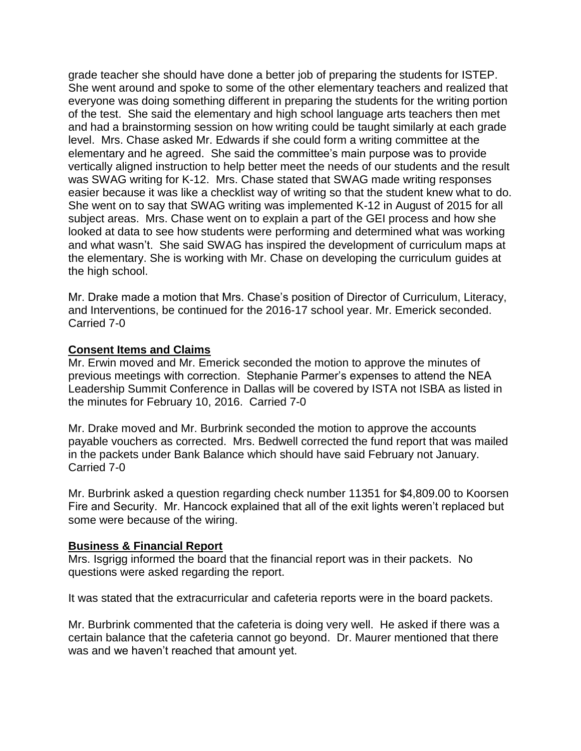grade teacher she should have done a better job of preparing the students for ISTEP. She went around and spoke to some of the other elementary teachers and realized that everyone was doing something different in preparing the students for the writing portion of the test. She said the elementary and high school language arts teachers then met and had a brainstorming session on how writing could be taught similarly at each grade level. Mrs. Chase asked Mr. Edwards if she could form a writing committee at the elementary and he agreed. She said the committee's main purpose was to provide vertically aligned instruction to help better meet the needs of our students and the result was SWAG writing for K-12. Mrs. Chase stated that SWAG made writing responses easier because it was like a checklist way of writing so that the student knew what to do. She went on to say that SWAG writing was implemented K-12 in August of 2015 for all subject areas. Mrs. Chase went on to explain a part of the GEI process and how she looked at data to see how students were performing and determined what was working and what wasn't. She said SWAG has inspired the development of curriculum maps at the elementary. She is working with Mr. Chase on developing the curriculum guides at the high school.

Mr. Drake made a motion that Mrs. Chase's position of Director of Curriculum, Literacy, and Interventions, be continued for the 2016-17 school year. Mr. Emerick seconded. Carried 7-0

#### **Consent Items and Claims**

Mr. Erwin moved and Mr. Emerick seconded the motion to approve the minutes of previous meetings with correction. Stephanie Parmer's expenses to attend the NEA Leadership Summit Conference in Dallas will be covered by ISTA not ISBA as listed in the minutes for February 10, 2016. Carried 7-0

Mr. Drake moved and Mr. Burbrink seconded the motion to approve the accounts payable vouchers as corrected. Mrs. Bedwell corrected the fund report that was mailed in the packets under Bank Balance which should have said February not January. Carried 7-0

Mr. Burbrink asked a question regarding check number 11351 for \$4,809.00 to Koorsen Fire and Security. Mr. Hancock explained that all of the exit lights weren't replaced but some were because of the wiring.

#### **Business & Financial Report**

Mrs. Isgrigg informed the board that the financial report was in their packets. No questions were asked regarding the report.

It was stated that the extracurricular and cafeteria reports were in the board packets.

Mr. Burbrink commented that the cafeteria is doing very well. He asked if there was a certain balance that the cafeteria cannot go beyond. Dr. Maurer mentioned that there was and we haven't reached that amount yet.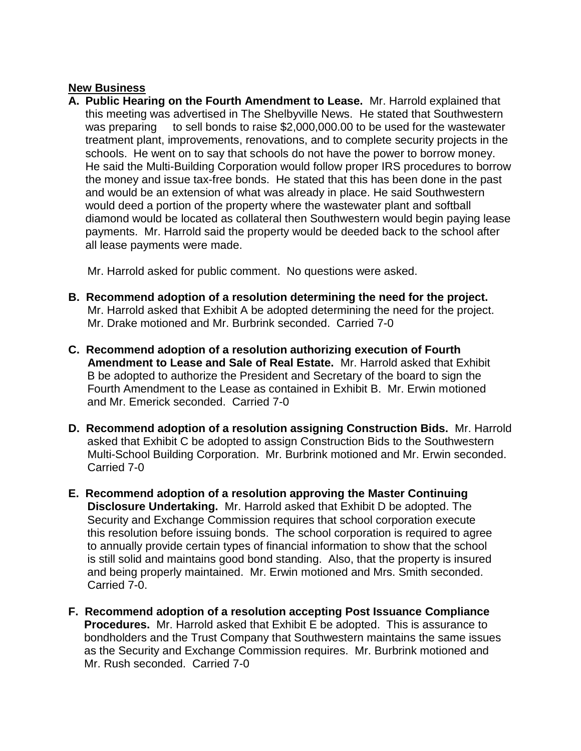### **New Business**

**A. Public Hearing on the Fourth Amendment to Lease.** Mr. Harrold explained that this meeting was advertised in The Shelbyville News. He stated that Southwestern was preparing to sell bonds to raise \$2,000,000.00 to be used for the wastewater treatment plant, improvements, renovations, and to complete security projects in the schools. He went on to say that schools do not have the power to borrow money. He said the Multi-Building Corporation would follow proper IRS procedures to borrow the money and issue tax-free bonds. He stated that this has been done in the past and would be an extension of what was already in place. He said Southwestern would deed a portion of the property where the wastewater plant and softball diamond would be located as collateral then Southwestern would begin paying lease payments. Mr. Harrold said the property would be deeded back to the school after all lease payments were made.

Mr. Harrold asked for public comment. No questions were asked.

- **B. Recommend adoption of a resolution determining the need for the project.** Mr. Harrold asked that Exhibit A be adopted determining the need for the project. Mr. Drake motioned and Mr. Burbrink seconded. Carried 7-0
- **C. Recommend adoption of a resolution authorizing execution of Fourth Amendment to Lease and Sale of Real Estate.** Mr. Harrold asked that Exhibit B be adopted to authorize the President and Secretary of the board to sign the Fourth Amendment to the Lease as contained in Exhibit B. Mr. Erwin motioned and Mr. Emerick seconded. Carried 7-0
- **D. Recommend adoption of a resolution assigning Construction Bids.** Mr. Harrold asked that Exhibit C be adopted to assign Construction Bids to the Southwestern Multi-School Building Corporation. Mr. Burbrink motioned and Mr. Erwin seconded. Carried 7-0
- **E. Recommend adoption of a resolution approving the Master Continuing Disclosure Undertaking.** Mr. Harrold asked that Exhibit D be adopted. The Security and Exchange Commission requires that school corporation execute this resolution before issuing bonds. The school corporation is required to agree to annually provide certain types of financial information to show that the school is still solid and maintains good bond standing. Also, that the property is insured and being properly maintained. Mr. Erwin motioned and Mrs. Smith seconded. Carried 7-0.
- **F. Recommend adoption of a resolution accepting Post Issuance Compliance Procedures.** Mr. Harrold asked that Exhibit E be adopted. This is assurance to bondholders and the Trust Company that Southwestern maintains the same issues as the Security and Exchange Commission requires. Mr. Burbrink motioned and Mr. Rush seconded. Carried 7-0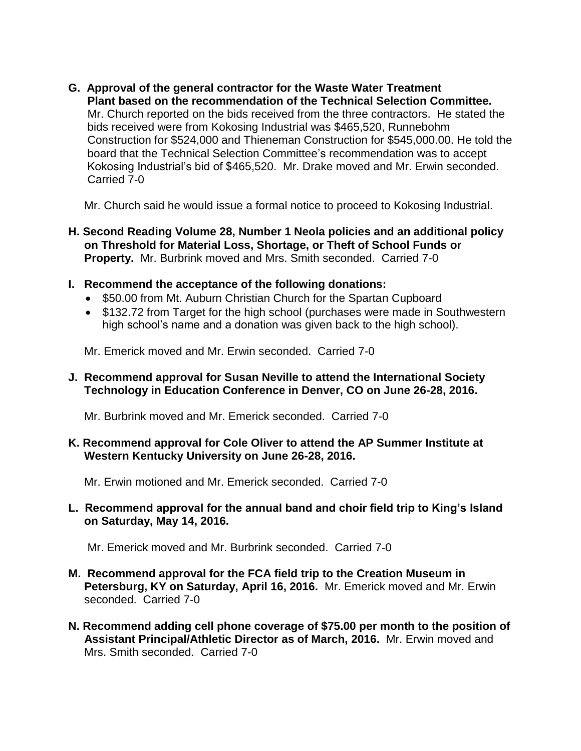**G. Approval of the general contractor for the Waste Water Treatment Plant based on the recommendation of the Technical Selection Committee.** Mr. Church reported on the bids received from the three contractors. He stated the bids received were from Kokosing Industrial was \$465,520, Runnebohm Construction for \$524,000 and Thieneman Construction for \$545,000.00. He told the board that the Technical Selection Committee's recommendation was to accept Kokosing Industrial's bid of \$465,520. Mr. Drake moved and Mr. Erwin seconded. Carried 7-0

Mr. Church said he would issue a formal notice to proceed to Kokosing Industrial.

- **H. Second Reading Volume 28, Number 1 Neola policies and an additional policy on Threshold for Material Loss, Shortage, or Theft of School Funds or Property.** Mr. Burbrink moved and Mrs. Smith seconded. Carried 7-0
- **I. Recommend the acceptance of the following donations:**
	- \$50.00 from Mt. Auburn Christian Church for the Spartan Cupboard
	- \$132.72 from Target for the high school (purchases were made in Southwestern high school's name and a donation was given back to the high school).

Mr. Emerick moved and Mr. Erwin seconded. Carried 7-0

#### **J. Recommend approval for Susan Neville to attend the International Society Technology in Education Conference in Denver, CO on June 26-28, 2016.**

Mr. Burbrink moved and Mr. Emerick seconded. Carried 7-0

#### **K. Recommend approval for Cole Oliver to attend the AP Summer Institute at Western Kentucky University on June 26-28, 2016.**

Mr. Erwin motioned and Mr. Emerick seconded. Carried 7-0

#### **L. Recommend approval for the annual band and choir field trip to King's Island on Saturday, May 14, 2016.**

Mr. Emerick moved and Mr. Burbrink seconded. Carried 7-0

- **M. Recommend approval for the FCA field trip to the Creation Museum in Petersburg, KY on Saturday, April 16, 2016.** Mr. Emerick moved and Mr. Erwin seconded. Carried 7-0
- **N. Recommend adding cell phone coverage of \$75.00 per month to the position of Assistant Principal/Athletic Director as of March, 2016.** Mr. Erwin moved and Mrs. Smith seconded. Carried 7-0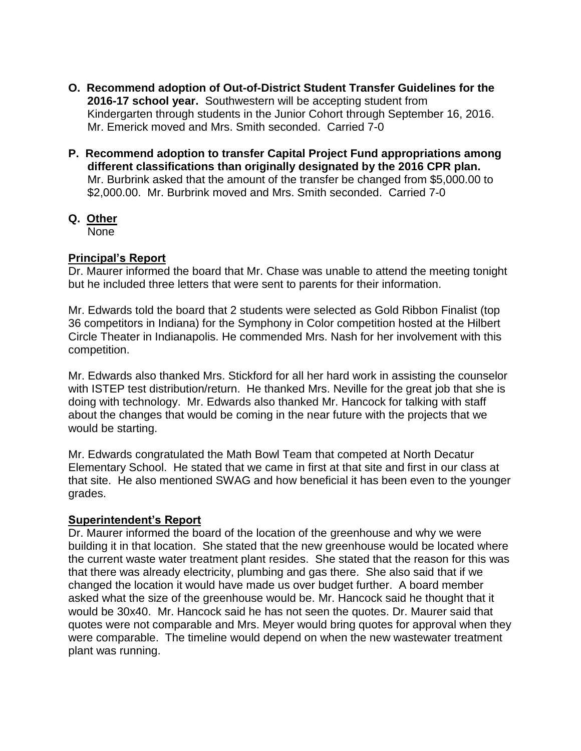- **O. Recommend adoption of Out-of-District Student Transfer Guidelines for the 2016-17 school year.** Southwestern will be accepting student from Kindergarten through students in the Junior Cohort through September 16, 2016.Mr. Emerick moved and Mrs. Smith seconded. Carried 7-0
- **P. Recommend adoption to transfer Capital Project Fund appropriations among different classifications than originally designated by the 2016 CPR plan.**  Mr. Burbrink asked that the amount of the transfer be changed from \$5,000.00 to \$2,000.00. Mr. Burbrink moved and Mrs. Smith seconded. Carried 7-0
- **Q. Other**

None

# **Principal's Report**

Dr. Maurer informed the board that Mr. Chase was unable to attend the meeting tonight but he included three letters that were sent to parents for their information.

Mr. Edwards told the board that 2 students were selected as Gold Ribbon Finalist (top 36 competitors in Indiana) for the Symphony in Color competition hosted at the Hilbert Circle Theater in Indianapolis. He commended Mrs. Nash for her involvement with this competition.

Mr. Edwards also thanked Mrs. Stickford for all her hard work in assisting the counselor with ISTEP test distribution/return. He thanked Mrs. Neville for the great job that she is doing with technology. Mr. Edwards also thanked Mr. Hancock for talking with staff about the changes that would be coming in the near future with the projects that we would be starting.

Mr. Edwards congratulated the Math Bowl Team that competed at North Decatur Elementary School. He stated that we came in first at that site and first in our class at that site. He also mentioned SWAG and how beneficial it has been even to the younger grades.

# **Superintendent's Report**

Dr. Maurer informed the board of the location of the greenhouse and why we were building it in that location. She stated that the new greenhouse would be located where the current waste water treatment plant resides. She stated that the reason for this was that there was already electricity, plumbing and gas there. She also said that if we changed the location it would have made us over budget further. A board member asked what the size of the greenhouse would be. Mr. Hancock said he thought that it would be 30x40. Mr. Hancock said he has not seen the quotes. Dr. Maurer said that quotes were not comparable and Mrs. Meyer would bring quotes for approval when they were comparable. The timeline would depend on when the new wastewater treatment plant was running.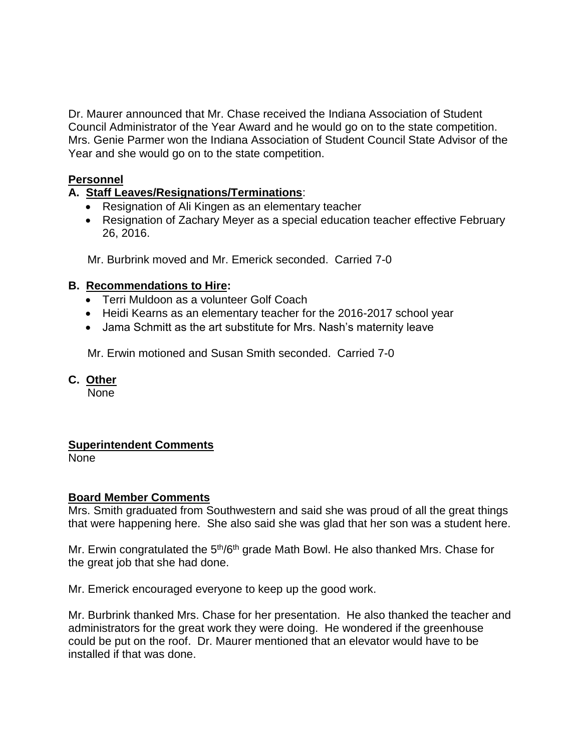Dr. Maurer announced that Mr. Chase received the Indiana Association of Student Council Administrator of the Year Award and he would go on to the state competition. Mrs. Genie Parmer won the Indiana Association of Student Council State Advisor of the Year and she would go on to the state competition.

### **Personnel**

# **A. Staff Leaves/Resignations/Terminations**:

- Resignation of Ali Kingen as an elementary teacher
- Resignation of Zachary Meyer as a special education teacher effective February 26, 2016.

Mr. Burbrink moved and Mr. Emerick seconded. Carried 7-0

### **B. Recommendations to Hire:**

- Terri Muldoon as a volunteer Golf Coach
- Heidi Kearns as an elementary teacher for the 2016-2017 school year
- Jama Schmitt as the art substitute for Mrs. Nash's maternity leave

Mr. Erwin motioned and Susan Smith seconded. Carried 7-0

**C. Other**

None

# **Superintendent Comments**

None

### **Board Member Comments**

Mrs. Smith graduated from Southwestern and said she was proud of all the great things that were happening here. She also said she was glad that her son was a student here.

Mr. Erwin congratulated the  $5<sup>th</sup>/6<sup>th</sup>$  grade Math Bowl. He also thanked Mrs. Chase for the great job that she had done.

Mr. Emerick encouraged everyone to keep up the good work.

Mr. Burbrink thanked Mrs. Chase for her presentation. He also thanked the teacher and administrators for the great work they were doing. He wondered if the greenhouse could be put on the roof. Dr. Maurer mentioned that an elevator would have to be installed if that was done.